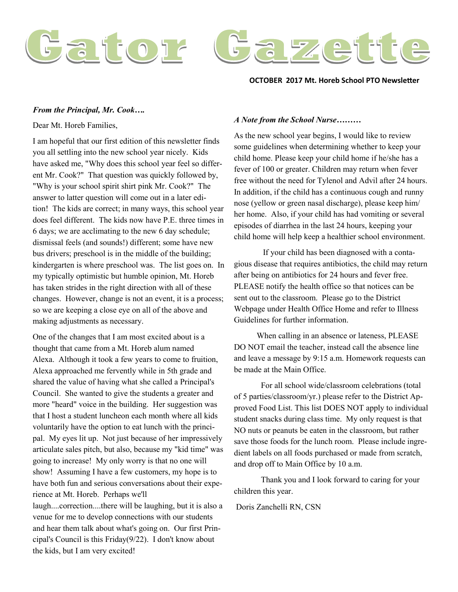

## **OCTOBER 2017 Mt. Horeb School PTO Newsletter**

## *From the Principal, Mr. Cook….*

Dear Mt. Horeb Families,

I am hopeful that our first edition of this newsletter finds you all settling into the new school year nicely. Kids have asked me, "Why does this school year feel so different Mr. Cook?" That question was quickly followed by, "Why is your school spirit shirt pink Mr. Cook?" The answer to latter question will come out in a later edition! The kids are correct; in many ways, this school year does feel different. The kids now have P.E. three times in 6 days; we are acclimating to the new 6 day schedule; dismissal feels (and sounds!) different; some have new bus drivers; preschool is in the middle of the building; kindergarten is where preschool was. The list goes on. In my typically optimistic but humble opinion, Mt. Horeb has taken strides in the right direction with all of these changes. However, change is not an event, it is a process; so we are keeping a close eye on all of the above and making adjustments as necessary.

One of the changes that I am most excited about is a thought that came from a Mt. Horeb alum named Alexa. Although it took a few years to come to fruition, Alexa approached me fervently while in 5th grade and shared the value of having what she called a Principal's Council. She wanted to give the students a greater and more "heard" voice in the building. Her suggestion was that I host a student luncheon each month where all kids voluntarily have the option to eat lunch with the principal. My eyes lit up. Not just because of her impressively articulate sales pitch, but also, because my "kid time" was going to increase! My only worry is that no one will show! Assuming I have a few customers, my hope is to have both fun and serious conversations about their experience at Mt. Horeb. Perhaps we'll

laugh....correction....there will be laughing, but it is also a venue for me to develop connections with our students and hear them talk about what's going on. Our first Principal's Council is this Friday(9/22). I don't know about the kids, but I am very excited!

## *A Note from the School Nurse………*

As the new school year begins, I would like to review some guidelines when determining whether to keep your child home. Please keep your child home if he/she has a fever of 100 or greater. Children may return when fever free without the need for Tylenol and Advil after 24 hours. In addition, if the child has a continuous cough and runny nose (yellow or green nasal discharge), please keep him/ her home. Also, if your child has had vomiting or several episodes of diarrhea in the last 24 hours, keeping your child home will help keep a healthier school environment.

If your child has been diagnosed with a contagious disease that requires antibiotics, the child may return after being on antibiotics for 24 hours and fever free. PLEASE notify the health office so that notices can be sent out to the classroom. Please go to the District Webpage under Health Office Home and refer to Illness Guidelines for further information.

 When calling in an absence or lateness, PLEASE DO NOT email the teacher, instead call the absence line and leave a message by 9:15 a.m. Homework requests can be made at the Main Office.

For all school wide/classroom celebrations (total of 5 parties/classroom/yr.) please refer to the District Approved Food List. This list DOES NOT apply to individual student snacks during class time. My only request is that NO nuts or peanuts be eaten in the classroom, but rather save those foods for the lunch room. Please include ingredient labels on all foods purchased or made from scratch, and drop off to Main Office by 10 a.m.

Thank you and I look forward to caring for your children this year.

Doris Zanchelli RN, CSN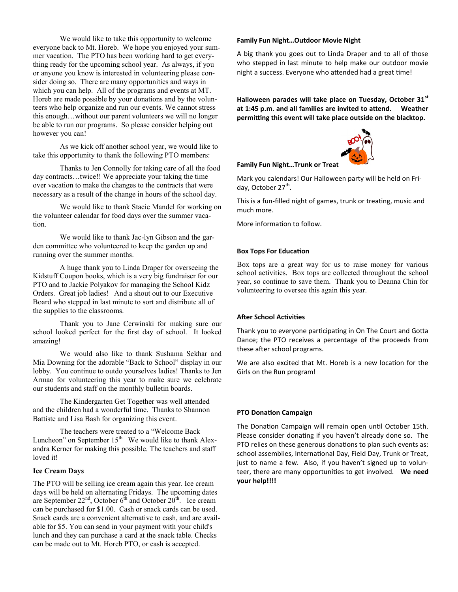We would like to take this opportunity to welcome everyone back to Mt. Horeb. We hope you enjoyed your summer vacation. The PTO has been working hard to get everything ready for the upcoming school year. As always, if you or anyone you know is interested in volunteering please consider doing so. There are many opportunities and ways in which you can help. All of the programs and events at MT. Horeb are made possible by your donations and by the volunteers who help organize and run our events. We cannot stress this enough…without our parent volunteers we will no longer be able to run our programs. So please consider helping out however you can!

As we kick off another school year, we would like to take this opportunity to thank the following PTO members:

Thanks to Jen Connolly for taking care of all the food day contracts…twice!! We appreciate your taking the time over vacation to make the changes to the contracts that were necessary as a result of the change in hours of the school day.

We would like to thank Stacie Mandel for working on the volunteer calendar for food days over the summer vacation.

We would like to thank Jac-lyn Gibson and the garden committee who volunteered to keep the garden up and running over the summer months.

A huge thank you to Linda Draper for overseeing the Kidstuff Coupon books, which is a very big fundraiser for our PTO and to Jackie Polyakov for managing the School Kidz Orders. Great job ladies! And a shout out to our Executive Board who stepped in last minute to sort and distribute all of the supplies to the classrooms.

Thank you to Jane Cerwinski for making sure our school looked perfect for the first day of school. It looked amazing!

We would also like to thank Sushama Sekhar and Mia Downing for the adorable "Back to School" display in our lobby. You continue to outdo yourselves ladies! Thanks to Jen Armao for volunteering this year to make sure we celebrate our students and staff on the monthly bulletin boards.

The Kindergarten Get Together was well attended and the children had a wonderful time. Thanks to Shannon Battiste and Lisa Bash for organizing this event.

The teachers were treated to a "Welcome Back Luncheon" on September 15<sup>th.</sup> We would like to thank Alexandra Kerner for making this possible. The teachers and staff loved it!

## **Ice Cream Days**

The PTO will be selling ice cream again this year. Ice cream days will be held on alternating Fridays. The upcoming dates are September  $22<sup>nd</sup>$ , October  $6<sup>th</sup>$  and October  $20<sup>th</sup>$ . Ice cream can be purchased for \$1.00. Cash or snack cards can be used. Snack cards are a convenient alternative to cash, and are available for \$5. You can send in your payment with your child's lunch and they can purchase a card at the snack table. Checks can be made out to Mt. Horeb PTO, or cash is accepted.

#### **Family Fun Night…Outdoor Movie Night**

A big thank you goes out to Linda Draper and to all of those who stepped in last minute to help make our outdoor movie night a success. Everyone who attended had a great time!

**Halloween parades will take place on Tuesday, October 31st at 1:45 p.m. and all families are invited to attend. Weather permitting this event will take place outside on the blacktop.**



### **Family Fun Night…Trunk or Treat**

Mark you calendars! Our Halloween party will be held on Friday, October 27<sup>th</sup>.

This is a fun-filled night of games, trunk or treating, music and much more.

More information to follow.

### **Box Tops For Education**

Box tops are a great way for us to raise money for various school activities. Box tops are collected throughout the school year, so continue to save them. Thank you to Deanna Chin for volunteering to oversee this again this year.

#### **After School Activities**

Thank you to everyone participating in On The Court and Gotta Dance; the PTO receives a percentage of the proceeds from these after school programs.

We are also excited that Mt. Horeb is a new location for the Girls on the Run program!

### **PTO Donation Campaign**

The Donation Campaign will remain open until October 15th. Please consider donating if you haven't already done so. The PTO relies on these generous donations to plan such events as: school assemblies, International Day, Field Day, Trunk or Treat, just to name a few. Also, if you haven't signed up to volunteer, there are many opportunities to get involved. **We need your help!!!!**